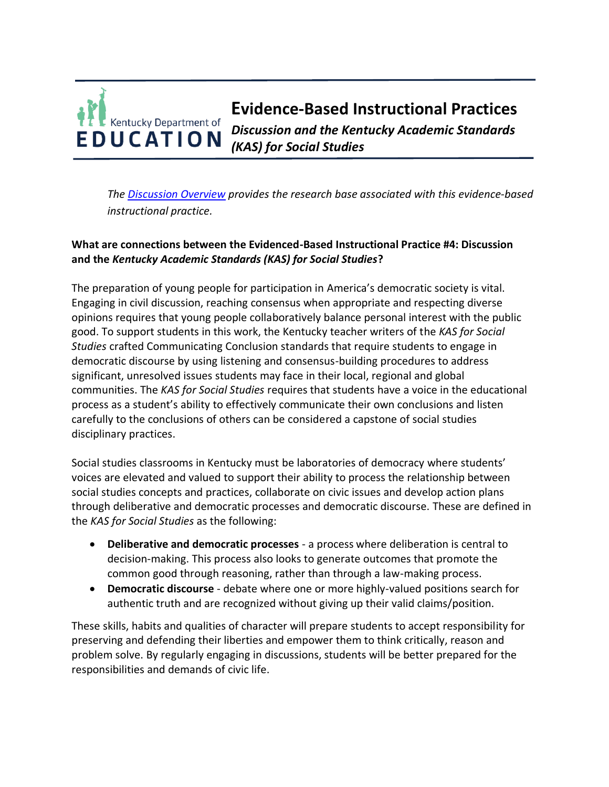# **Evidence-Based Instructional Practices**  Kentucky Department of *Discussion and the Kentucky Academic Standards*  **EDUCATION** *(KAS) for Social Studies*

*The [Discussion Overview](https://education.ky.gov/curriculum/standards/kyacadstand/Documents/EBIP_4_Discussion.pdf) provides the research base associated with this evidence-based instructional practice.*

# **What are connections between the Evidenced-Based Instructional Practice #4: Discussion and the** *Kentucky Academic Standards (KAS) for Social Studies***?**

The preparation of young people for participation in America's democratic society is vital. Engaging in civil discussion, reaching consensus when appropriate and respecting diverse opinions requires that young people collaboratively balance personal interest with the public good. To support students in this work, the Kentucky teacher writers of the *KAS for Social Studies* crafted Communicating Conclusion standards that require students to engage in democratic discourse by using listening and consensus-building procedures to address significant, unresolved issues students may face in their local, regional and global communities. The *KAS for Social Studies* requires that students have a voice in the educational process as a student's ability to effectively communicate their own conclusions and listen carefully to the conclusions of others can be considered a capstone of social studies disciplinary practices.

Social studies classrooms in Kentucky must be laboratories of democracy where students' voices are elevated and valued to support their ability to process the relationship between social studies concepts and practices, collaborate on civic issues and develop action plans through deliberative and democratic processes and democratic discourse. These are defined in the *KAS for Social Studies* as the following:

- **Deliberative and democratic processes** a process where deliberation is central to decision-making. This process also looks to generate outcomes that promote the common good through reasoning, rather than through a law-making process.
- **Democratic discourse**  debate where one or more highly-valued positions search for authentic truth and are recognized without giving up their valid claims/position.

These skills, habits and qualities of character will prepare students to accept responsibility for preserving and defending their liberties and empower them to think critically, reason and problem solve. By regularly engaging in discussions, students will be better prepared for the responsibilities and demands of civic life.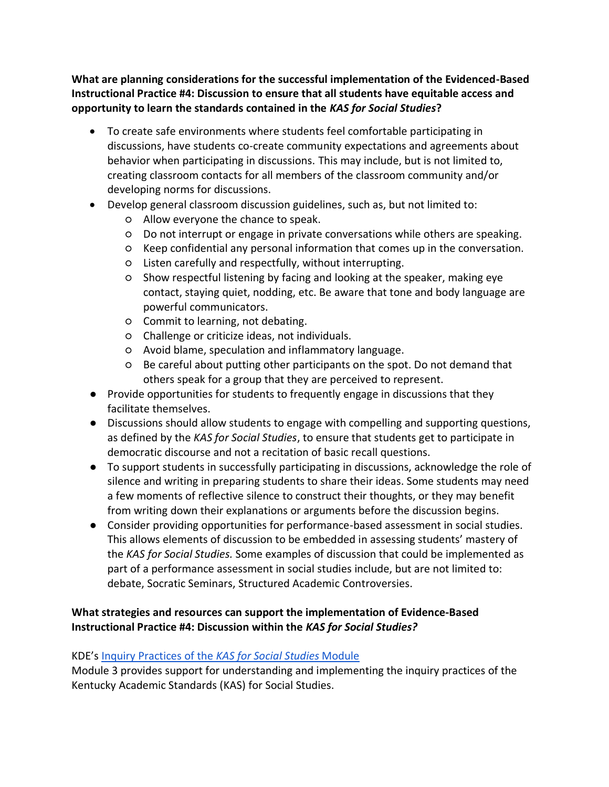**What are planning considerations for the successful implementation of the Evidenced-Based Instructional Practice #4: Discussion to ensure that all students have equitable access and opportunity to learn the standards contained in the** *KAS for Social Studies***?**

- To create safe environments where students feel comfortable participating in discussions, have students co-create community expectations and agreements about behavior when participating in discussions. This may include, but is not limited to, creating classroom contacts for all members of the classroom community and/or developing norms for discussions.
- Develop general classroom discussion guidelines, such as, but not limited to:
	- Allow everyone the chance to speak.
	- Do not interrupt or engage in private conversations while others are speaking.
	- Keep confidential any personal information that comes up in the conversation.
	- Listen carefully and respectfully, without interrupting.
	- Show respectful listening by facing and looking at the speaker, making eye contact, staying quiet, nodding, etc. Be aware that tone and body language are powerful communicators.
	- Commit to learning, not debating.
	- Challenge or criticize ideas, not individuals.
	- Avoid blame, speculation and inflammatory language.
	- Be careful about putting other participants on the spot. Do not demand that others speak for a group that they are perceived to represent.
- Provide opportunities for students to frequently engage in discussions that they facilitate themselves.
- Discussions should allow students to engage with compelling and supporting questions, as defined by the *KAS for Social Studies*, to ensure that students get to participate in democratic discourse and not a recitation of basic recall questions.
- To support students in successfully participating in discussions, acknowledge the role of silence and writing in preparing students to share their ideas. Some students may need a few moments of reflective silence to construct their thoughts, or they may benefit from writing down their explanations or arguments before the discussion begins.
- Consider providing opportunities for performance-based assessment in social studies. This allows elements of discussion to be embedded in assessing students' mastery of the *KAS for Social Studies.* Some examples of discussion that could be implemented as part of a performance assessment in social studies include, but are not limited to: debate, Socratic Seminars, Structured Academic Controversies.

# **What strategies and resources can support the implementation of Evidence-Based Instructional Practice #4: Discussion within the** *KAS for Social Studies?*

## KDE's [Inquiry Practices of the](https://education.ky.gov/curriculum/standards/kyacadstand/Documents/Inquiry_Practices_of_KAS_for_Social_Studies.pptx) *[KAS for Social Studies](https://education.ky.gov/curriculum/standards/kyacadstand/Documents/Inquiry_Practices_of_KAS_for_Social_Studies.pptx)* [Module](https://education.ky.gov/curriculum/standards/kyacadstand/Documents/Inquiry_Practices_of_KAS_for_Social_Studies.pptx)

Module 3 provides support for understanding and implementing the inquiry practices of the Kentucky Academic Standards (KAS) for Social Studies.